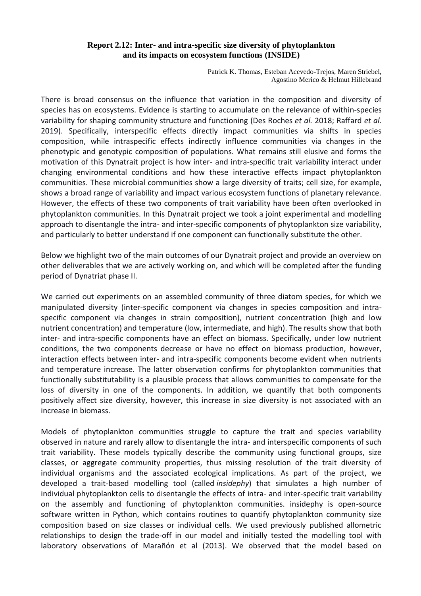## **Report 2.12: Inter- and intra-specific size diversity of phytoplankton and its impacts on ecosystem functions (INSIDE)**

Patrick K. Thomas, Esteban Acevedo-Trejos, Maren Striebel, Agostino Merico & Helmut Hillebrand

There is broad consensus on the influence that variation in the composition and diversity of species has on ecosystems. Evidence is starting to accumulate on the relevance of within-species variability for shaping community structure and functioning (Des Roches *et al.* 2018; Raffard *et al.* 2019). Specifically, interspecific effects directly impact communities via shifts in species composition, while intraspecific effects indirectly influence communities via changes in the phenotypic and genotypic composition of populations. What remains still elusive and forms the motivation of this Dynatrait project is how inter- and intra-specific trait variability interact under changing environmental conditions and how these interactive effects impact phytoplankton communities. These microbial communities show a large diversity of traits; cell size, for example, shows a broad range of variability and impact various ecosystem functions of planetary relevance. However, the effects of these two components of trait variability have been often overlooked in phytoplankton communities. In this Dynatrait project we took a joint experimental and modelling approach to disentangle the intra- and inter-specific components of phytoplankton size variability, and particularly to better understand if one component can functionally substitute the other.

Below we highlight two of the main outcomes of our Dynatrait project and provide an overview on other deliverables that we are actively working on, and which will be completed after the funding period of Dynatriat phase II.

We carried out experiments on an assembled community of three diatom species, for which we manipulated diversity (inter-specific component via changes in species composition and intraspecific component via changes in strain composition), nutrient concentration (high and low nutrient concentration) and temperature (low, intermediate, and high). The results show that both inter- and intra-specific components have an effect on biomass. Specifically, under low nutrient conditions, the two components decrease or have no effect on biomass production, however, interaction effects between inter- and intra-specific components become evident when nutrients and temperature increase. The latter observation confirms for phytoplankton communities that functionally substitutability is a plausible process that allows communities to compensate for the loss of diversity in one of the components. In addition, we quantify that both components positively affect size diversity, however, this increase in size diversity is not associated with an increase in biomass.

Models of phytoplankton communities struggle to capture the trait and species variability observed in nature and rarely allow to disentangle the intra- and interspecific components of such trait variability. These models typically describe the community using functional groups, size classes, or aggregate community properties, thus missing resolution of the trait diversity of individual organisms and the associated ecological implications. As part of the project, we developed a trait-based modelling tool (called *insidephy*) that simulates a high number of individual phytoplankton cells to disentangle the effects of intra- and inter-specific trait variability on the assembly and functioning of phytoplankton communities. insidephy is open-source software written in Python, which contains routines to quantify phytoplankton community size composition based on size classes or individual cells. We used previously published allometric relationships to design the trade-off in our model and initially tested the modelling tool with laboratory observations of Marañón et al (2013). We observed that the model based on